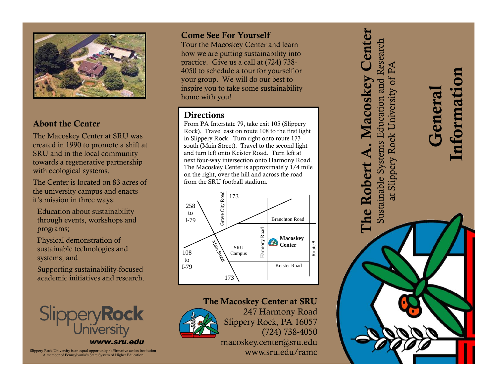

## **About the Center**

The Macoskey Center at SRU was created in 1990 to promote a shift at SRU and in the local community towards a regenerative partnership with ecological systems.

The Center is located on 83 acres of the university campus and enacts it's mission in three ways:

Education about sustainability through events, workshops and programs;

Physical demonstration of sustainable technologies and systems; and

Supporting sustainability -focused academic initiatives and research.



Slippery Rock University is an equal opportunity /affirmative action institution A member of Pennsylvania's State System of Higher Education

## **Come See For Yourself**

Tour the Macoskey Center and learn how we are putting sustainability into practice. Give us a call at (724) 738 - 4050 to schedule a tour for yourself or your group. We will do our best to inspire you to take some sustainability home with you!

## **Directions**

From PA Interstate 79, take exit 105 (Slippery Rock). Travel east on route 108 to the first light in Slippery Rock. Turn right onto route 173 south (Main Street). Travel to the second light and turn left onto Keister Road. Turn left at next four -way intersection onto Harmony Road. The Macoskey Center is approximately 1/4 mile on the right, over the hill and across the road from the SRU football stadium.



**The Macoskey Center at SRU**



247 Harmony Road Slippery Rock, PA 16057 (724) 738 -4050 macoskey.center@sru.edu www.sru.edu/ramc